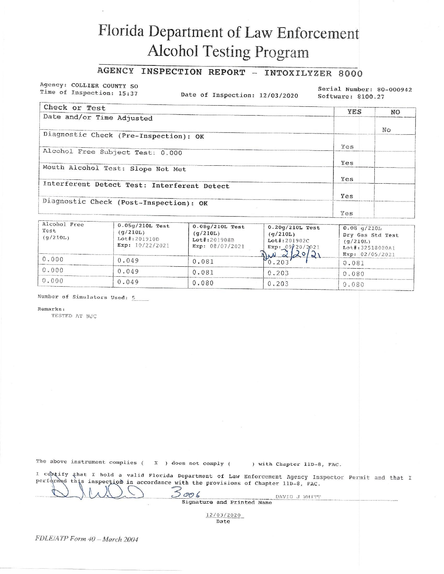## Florida Department of Law Enforcement **Alcohol Testing Program**

## AGENCY INSPECTION REPORT - INTOXILYZER 8000

Agency: COLLIER COUNTY SO Time of Inspection: 15:37

Date of Inspection: 12/03/2020

Serial Number: 80-000942 Software: 8100.27

| Check or Test                               | YES | NO. |
|---------------------------------------------|-----|-----|
| Date and/or Time Adjusted                   |     |     |
|                                             |     | No  |
| Diagnostic Check (Pre-Inspection): OK       |     |     |
|                                             | Yes |     |
| Alcohol Free Subject Test: 0.000            |     |     |
|                                             | Yes |     |
| Mouth Alcohol Test: Slope Not Met           |     |     |
|                                             | Yes |     |
| Interferent Detect Test: Interferent Detect |     |     |
|                                             | Yes |     |
| Diagnostic Check (Post-Inspection): OK      |     |     |
|                                             | Ves |     |

| Alcohol Free<br>Test<br>(q/210L) | $0.05g/210L$ Test<br>(q/210L)<br>$Lot\$ :201910D<br>Exp: $10/22/2021$ | $0.08q/210L$ Test<br>(q/210L)<br>Lot#:201908B<br>Exp: 08/07/2021 | $0.20q/210L$ Test<br>(q/210L)<br>$Lot$ : 201902C<br>Exp: $09/20/2021$ | 0.08 q/210L<br>Dry Gas Std Test<br>(q/210L)<br>Lot#:32518080A1<br>Exp: $02/05/2021$ |
|----------------------------------|-----------------------------------------------------------------------|------------------------------------------------------------------|-----------------------------------------------------------------------|-------------------------------------------------------------------------------------|
| 0.000                            | 0.049                                                                 | 0.081                                                            |                                                                       | 0.081                                                                               |
| 0.000                            | 0.049                                                                 | 0.081                                                            | 0.203                                                                 | 0.080                                                                               |
| 0.000                            | 0.049                                                                 | 0.080                                                            | 0.203                                                                 | 0.080                                                                               |

Number of Simulators Used: 5

Remarks:

TESTED AT NJC

|  |  | The above instrument complies ( |  |  |  |  |  |  | X ) does not comply ( |  |  | ) with Chapter 11D-8, FAC. |  |  |
|--|--|---------------------------------|--|--|--|--|--|--|-----------------------|--|--|----------------------------|--|--|
|--|--|---------------------------------|--|--|--|--|--|--|-----------------------|--|--|----------------------------|--|--|

I centify that I hold a valid Florida Department of Law Enforcement Agency Inspector Permit and that I<br>performed this inspection in accordance with the provisions of Chapter 110-8, FAC.  $5006$ 

Signature and Printed Name

DAVID J WHITT

12/03/2020 Date

FDLE/ATP Form 40 - March 2004